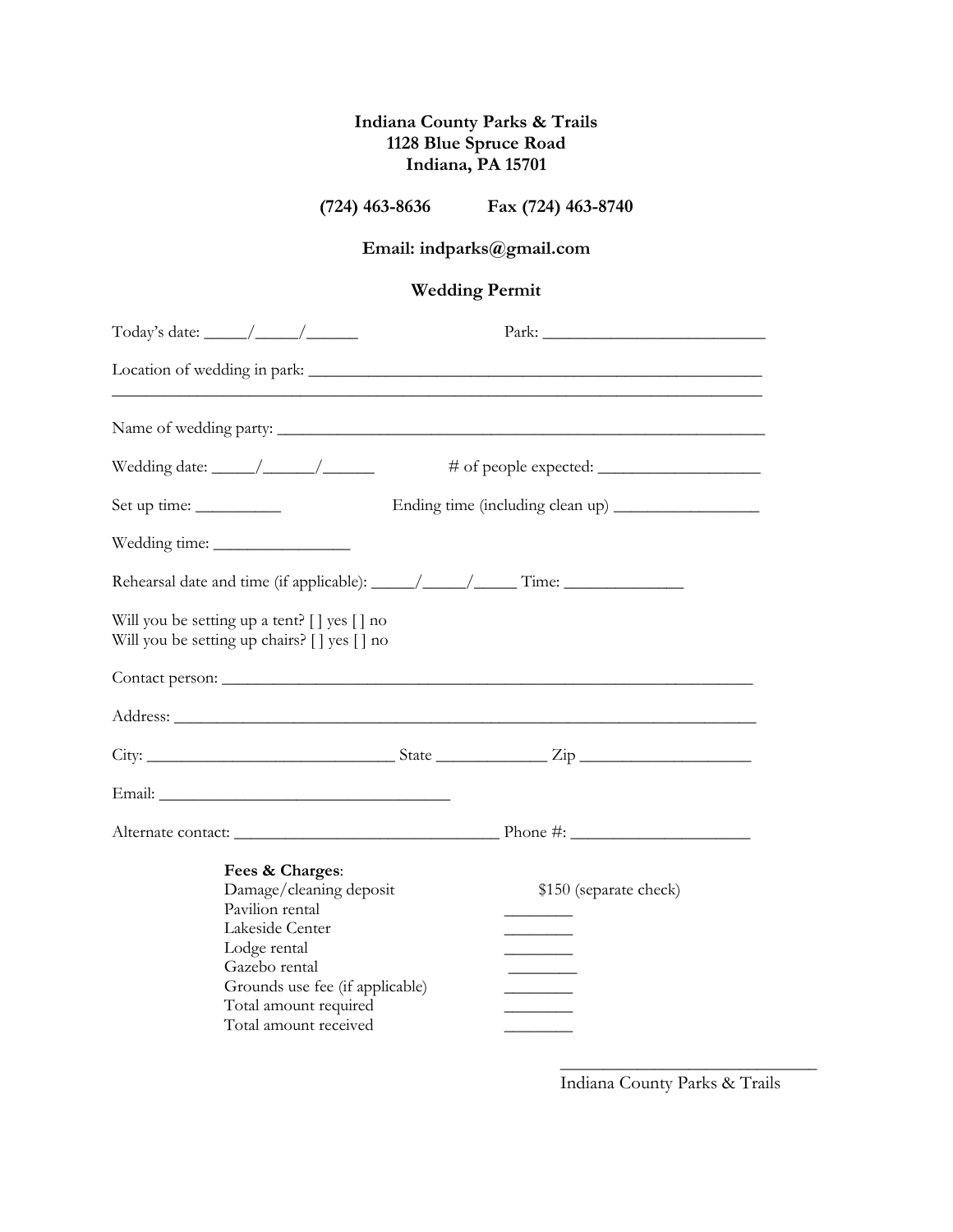### **Indiana County Parks & Trails 1128 Blue Spruce Road Indiana, PA 15701**

**(724) 463-8636 Fax (724) 463-8740**

# **Email: indparks@gmail.com**

# **Wedding Permit**

| Today's date: $\_\_\_\_\_\_\_\_\_\_\_\_\_\_\_\_\_\_\_\_$                                                                                                                                                                            |  |                        |  |
|-------------------------------------------------------------------------------------------------------------------------------------------------------------------------------------------------------------------------------------|--|------------------------|--|
|                                                                                                                                                                                                                                     |  |                        |  |
|                                                                                                                                                                                                                                     |  |                        |  |
| Wedding date: $\frac{\sqrt{2\pi}}{2\pi}$                                                                                                                                                                                            |  |                        |  |
|                                                                                                                                                                                                                                     |  |                        |  |
|                                                                                                                                                                                                                                     |  |                        |  |
|                                                                                                                                                                                                                                     |  |                        |  |
| Will you be setting up a tent? [] yes [] no<br>Will you be setting up chairs? [] yes [] no                                                                                                                                          |  |                        |  |
|                                                                                                                                                                                                                                     |  |                        |  |
| Address: <u>Address:</u> Address: Address: Address: Address: Address: Address: Address: Address: Address: Address: Address: Address: Address: Address: Address: Address: Address: Address: Address: Address: Address: Address: Addr |  |                        |  |
|                                                                                                                                                                                                                                     |  |                        |  |
|                                                                                                                                                                                                                                     |  |                        |  |
|                                                                                                                                                                                                                                     |  |                        |  |
| Fees & Charges:<br>Damage/cleaning deposit<br>Pavilion rental<br>Lakeside Center<br>Lodge rental<br>Gazebo rental<br>Grounds use fee (if applicable)<br>Total amount required<br>Total amount received                              |  | \$150 (separate check) |  |

Indiana County Parks & Trails

\_\_\_\_\_\_\_\_\_\_\_\_\_\_\_\_\_\_\_\_\_\_\_\_\_\_\_\_\_\_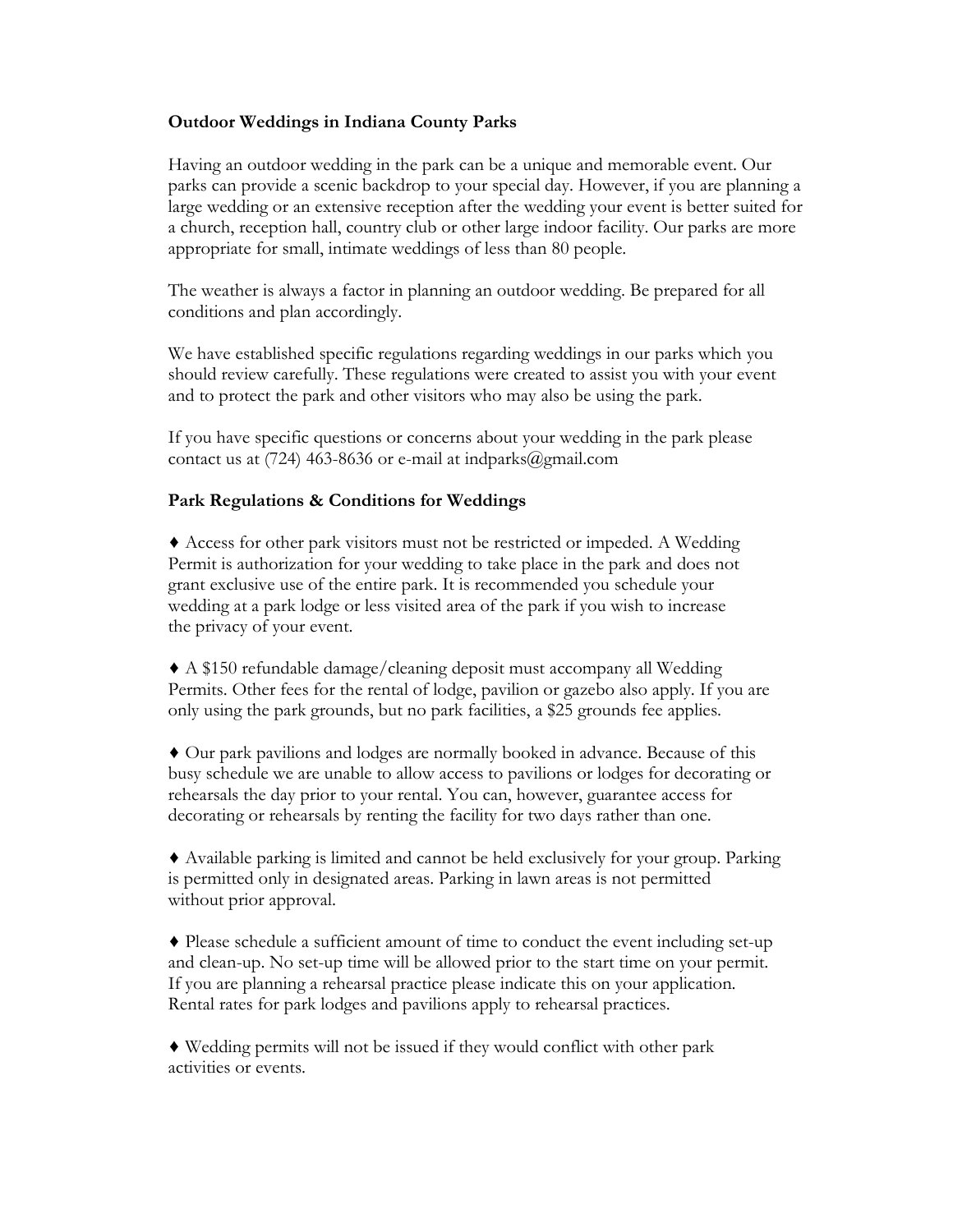#### **Outdoor Weddings in Indiana County Parks**

Having an outdoor wedding in the park can be a unique and memorable event. Our parks can provide a scenic backdrop to your special day. However, if you are planning a large wedding or an extensive reception after the wedding your event is better suited for a church, reception hall, country club or other large indoor facility. Our parks are more appropriate for small, intimate weddings of less than 80 people.

The weather is always a factor in planning an outdoor wedding. Be prepared for all conditions and plan accordingly.

We have established specific regulations regarding weddings in our parks which you should review carefully. These regulations were created to assist you with your event and to protect the park and other visitors who may also be using the park.

If you have specific questions or concerns about your wedding in the park please contact us at (724) 463-8636 or e-mail at indparks@gmail.com

#### **Park Regulations & Conditions for Weddings**

♦ Access for other park visitors must not be restricted or impeded. A Wedding Permit is authorization for your wedding to take place in the park and does not grant exclusive use of the entire park. It is recommended you schedule your wedding at a park lodge or less visited area of the park if you wish to increase the privacy of your event.

♦ A \$150 refundable damage/cleaning deposit must accompany all Wedding Permits. Other fees for the rental of lodge, pavilion or gazebo also apply. If you are only using the park grounds, but no park facilities, a \$25 grounds fee applies.

♦ Our park pavilions and lodges are normally booked in advance. Because of this busy schedule we are unable to allow access to pavilions or lodges for decorating or rehearsals the day prior to your rental. You can, however, guarantee access for decorating or rehearsals by renting the facility for two days rather than one.

♦ Available parking is limited and cannot be held exclusively for your group. Parking is permitted only in designated areas. Parking in lawn areas is not permitted without prior approval.

♦ Please schedule a sufficient amount of time to conduct the event including set-up and clean-up. No set-up time will be allowed prior to the start time on your permit. If you are planning a rehearsal practice please indicate this on your application. Rental rates for park lodges and pavilions apply to rehearsal practices.

♦ Wedding permits will not be issued if they would conflict with other park activities or events.